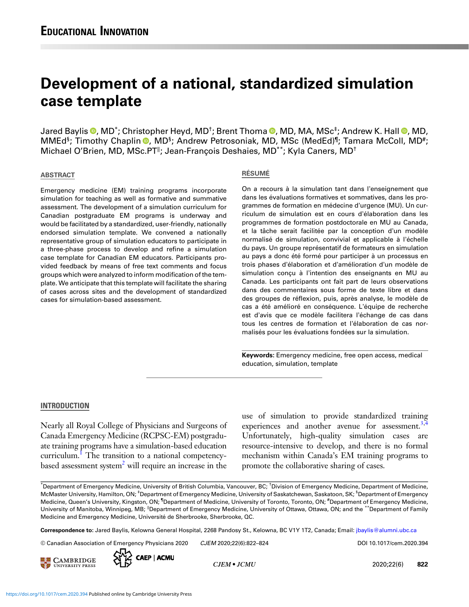# Development of a national, standardized simulation case template

Jared Baylis **©**[,](https://orcid.org/0000-0003-1124-5786) MD\*; Christopher Heyd, MD†; Brent Thoma ©, MD, MA, MSc‡; Andrew K. Hall ©, MD, MMEd<sup>§</sup>; Timothy Chaplin <sup>®</sup>[,](https://orcid.org/0000-0001-6037-8230) MD<sup>§</sup>; Andrew Petrosoniak, MD, MSc (MedEd)<sup>¶</sup>; Tamara McColl, MD<sup>#</sup>; Michael O'Brien, MD, MSc.PT‖; Jean-François Deshaies, MD\*\*; Kyla Caners, MD†

## **ABSTRACT**

Emergency medicine (EM) training programs incorporate simulation for teaching as well as formative and summative assessment. The development of a simulation curriculum for Canadian postgraduate EM programs is underway and would be facilitated by a standardized, user-friendly, nationally endorsed simulation template. We convened a nationally representative group of simulation educators to participate in a three-phase process to develop and refine a simulation case template for Canadian EM educators. Participants provided feedback by means of free text comments and focus groups which were analyzed to inform modification of the template. We anticipate that this template will facilitate the sharing of cases across sites and the development of standardized cases for simulation-based assessment.

#### RÉSUMÉ

On a recours à la simulation tant dans l'enseignement que dans les évaluations formatives et sommatives, dans les programmes de formation en médecine d'urgence (MU). Un curriculum de simulation est en cours d'élaboration dans les programmes de formation postdoctorale en MU au Canada, et la tâche serait facilitée par la conception d'un modèle normalisé de simulation, convivial et applicable à l'échelle du pays. Un groupe représentatif de formateurs en simulation au pays a donc été formé pour participer à un processus en trois phases d'élaboration et d'amélioration d'un modèle de simulation conçu à l'intention des enseignants en MU au Canada. Les participants ont fait part de leurs observations dans des commentaires sous forme de texte libre et dans des groupes de réflexion, puis, après analyse, le modèle de cas a été amélioré en conséquence. L'équipe de recherche est d'avis que ce modèle facilitera l'échange de cas dans tous les centres de formation et l'élaboration de cas normalisés pour les évaluations fondées sur la simulation.

Keywords: Emergency medicine, free open access, medical education, simulation, template

#### INTRODUCTION

Nearly all Royal College of Physicians and Surgeons of Canada Emergency Medicine (RCPSC-EM) postgraduate training programs have a simulation-based education curriculum.<sup>[1](#page-2-0)</sup> The transition to a national competency-based assessment system<sup>[2](#page-2-0)</sup> will require an increase in the

use of simulation to provide standardized training experiences and another avenue for assessment.<sup>3,4</sup> Unfortunately, high-quality simulation cases are resource-intensive to develop, and there is no formal mechanism within Canada's EM training programs to promote the collaborative sharing of cases.

Correspondence to: Jared Baylis, Kelowna General Hospital, 2268 Pandosy St., Kelowna, BC V1Y 1T2, Canada; Email: [jbaylis@alumni.ubc.ca](mailto:jbaylis@alumni.ubc.ca)

© Canadian Association of Emergency Physicians 2020 CJEM 2020;22(6):822–824 DOI 10.1017/cem.2020.394





<sup>\*</sup>Department of Emergency Medicine, University of British Columbia, Vancouver, BC; <sup>†</sup>Division of Emergency Medicine, Department of Medicine, McMaster University, Hamilton, ON; ‡ Department of Emergency Medicine, University of Saskatchewan, Saskatoon, SK; § Department of Emergency Medicine, Queen's University, Kingston, ON; <sup>¶</sup>Department of Medicine, University of Toronto, Toronto, ON; <sup>#</sup>Department of Emergency Medicine, University of Manitoba, Winnipeg, MB;  $^{\parallel}$ Department of Emergency Medicine, University of Ottawa, Ottawa, ON; and the  $^{**}$ Department of Family Medicine and Emergency Medicine, Université de Sherbrooke, Sherbrooke, QC.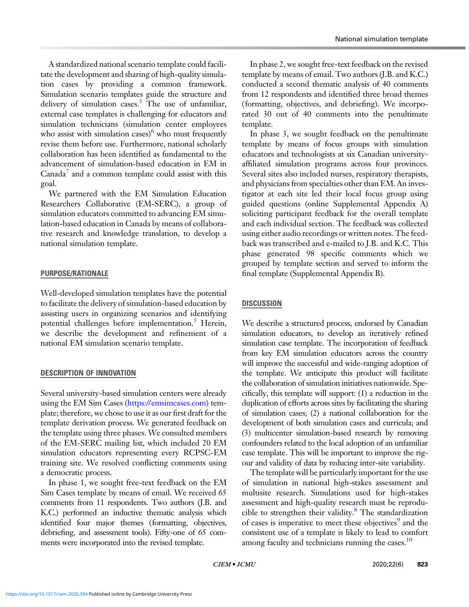A standardized national scenario template could facilitate the development and sharing of high-quality simulation cases by providing a common framework. Simulation scenario templates guide the structure and delivery of simulation cases.<sup>[5](#page-2-0)</sup> The use of unfamiliar, external case templates is challenging for educators and simulation technicians (simulation center employees who assist with simulation cases) $<sup>6</sup>$  who must frequently</sup> revise them before use. Furthermore, national scholarly collaboration has been identified as fundamental to the advancement of simulation-based education in EM in  $Canada<sup>7</sup>$  and a common template could assist with this goal.

We partnered with the EM Simulation Education Researchers Collaborative (EM-SERC), a group of simulation educators committed to advancing EM simulation-based education in Canada by means of collaborative research and knowledge translation, to develop a national simulation template.

## PURPOSE/RATIONALE

Well-developed simulation templates have the potential to facilitate the delivery of simulation-based education by assisting users in organizing scenarios and identifying potential challenges before implementation.<sup>[5](#page-2-0)</sup> Herein, we describe the development and refinement of a national EM simulation scenario template.

### DESCRIPTION OF INNOVATION

Several university-based simulation centers were already using the EM Sim Cases [\(https://emsimcases.com](https://emsimcases.com)) template; therefore, we chose to use it as our first draft for the template derivation process. We generated feedback on the template using three phases. We consulted members of the EM-SERC mailing list, which included 20 EM simulation educators representing every RCPSC-EM training site. We resolved conflicting comments using a democratic process.

In phase 1, we sought free-text feedback on the EM Sim Cases template by means of email. We received 65 comments from 11 respondents. Two authors (J.B. and K.C.) performed an inductive thematic analysis which identified four major themes (formatting, objectives, debriefing, and assessment tools). Fifty-one of 65 comments were incorporated into the revised template.

In phase 2, we sought free-text feedback on the revised template by means of email. Two authors (J.B. and K.C.) conducted a second thematic analysis of 40 comments from 12 respondents and identified three broad themes (formatting, objectives, and debriefing). We incorporated 30 out of 40 comments into the penultimate template.

In phase 3, we sought feedback on the penultimate template by means of focus groups with simulation educators and technologists at six Canadian universityaffiliated simulation programs across four provinces. Several sites also included nurses, respiratory therapists, and physicians from specialties other than EM. An investigator at each site led their local focus group using guided questions (online Supplemental Appendix A) soliciting participant feedback for the overall template and each individual section. The feedback was collected using either audio recordings or written notes. The feedback was transcribed and e-mailed to J.B. and K.C. This phase generated 98 specific comments which we grouped by template section and served to inform the final template (Supplemental Appendix B).

# **DISCUSSION**

We describe a structured process, endorsed by Canadian simulation educators, to develop an iteratively refined simulation case template. The incorporation of feedback from key EM simulation educators across the country will improve the successful and wide-ranging adoption of the template. We anticipate this product will facilitate the collaboration of simulation initiatives nationwide. Specifically, this template will support: (1) a reduction in the duplication of efforts across sites by facilitating the sharing of simulation cases; (2) a national collaboration for the development of both simulation cases and curricula; and (3) multicenter simulation-based research by removing confounders related to the local adoption of an unfamiliar case template. This will be important to improve the rigour and validity of data by reducing inter-site variability.

The template will be particularly important for the use of simulation in national high-stakes assessment and multisite research. Simulations used for high-stakes assessment and high-quality research must be reproducible to strengthen their validity. $8$  The standardization of cases is imperative to meet these objectives<sup>9</sup> and the consistent use of a template is likely to lead to comfort among faculty and technicians running the cases.<sup>10</sup>